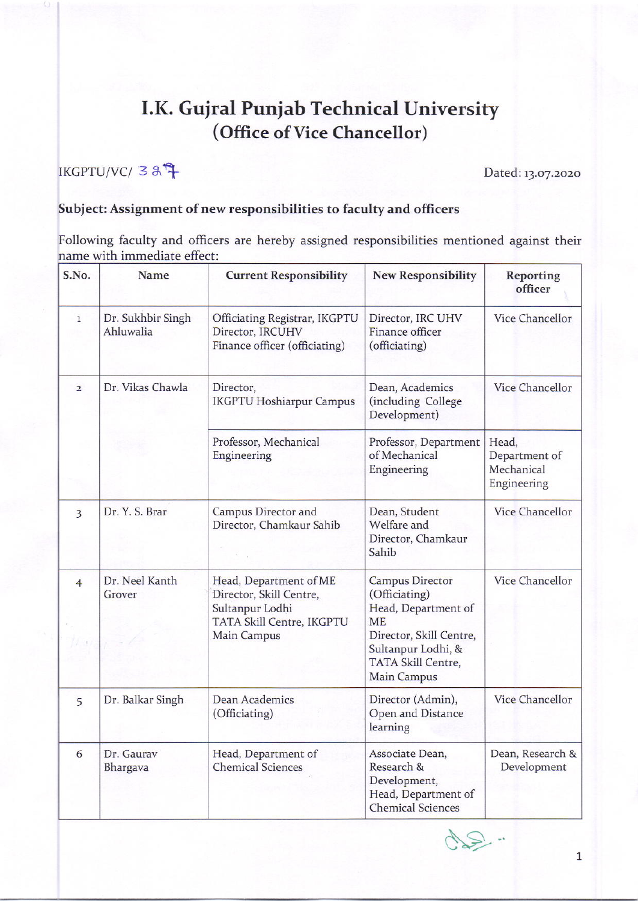## I.K. Guiral Punjab Technical University (Office of Vice Chancellor)

 $\text{IKGPTU/VC/ } \text{38}^{\text{th}} \text{F} \text{.}$ 

## Subject: Assignment of new responsibilities to faculty and officers

Following faculty and officers are hereby assigned responsibilities mentioned against their name with immediate effect:

| S.No.          | Name                           | <b>Current Responsibility</b>                                                                                    | <b>New Responsibility</b>                                                                                                                                  | <b>Reporting</b><br>officer                         |
|----------------|--------------------------------|------------------------------------------------------------------------------------------------------------------|------------------------------------------------------------------------------------------------------------------------------------------------------------|-----------------------------------------------------|
| $\mathbf{1}$   | Dr. Sukhbir Singh<br>Ahluwalia | Officiating Registrar, IKGPTU<br>Director, IRCUHV<br>Finance officer (officiating)                               | Director, IRC UHV<br>Finance officer<br>(officiating)                                                                                                      | Vice Chancellor                                     |
| $\overline{2}$ | Dr. Vikas Chawla               | Director,<br><b>IKGPTU Hoshiarpur Campus</b>                                                                     | Dean, Academics<br>(including College<br>Development)                                                                                                      | Vice Chancellor                                     |
|                |                                | Professor, Mechanical<br>Engineering                                                                             | Professor, Department<br>of Mechanical<br>Engineering                                                                                                      | Head,<br>Department of<br>Mechanical<br>Engineering |
| 3              | Dr. Y. S. Brar                 | Campus Director and<br>Director, Chamkaur Sahib                                                                  | Dean, Student<br>Welfare and<br>Director, Chamkaur<br>Sahib                                                                                                | Vice Chancellor                                     |
| $\overline{4}$ | Dr. Neel Kanth<br>Grover       | Head, Department of ME<br>Director, Skill Centre,<br>Sultanpur Lodhi<br>TATA Skill Centre, IKGPTU<br>Main Campus | Campus Director<br>(Officiating)<br>Head, Department of<br><b>ME</b><br>Director, Skill Centre,<br>Sultanpur Lodhi, &<br>TATA Skill Centre,<br>Main Campus | Vice Chancellor                                     |
| 5              | Dr. Balkar Singh               | Dean Academics<br>(Officiating)                                                                                  | Director (Admin),<br>Open and Distance<br>learning                                                                                                         | Vice Chancellor                                     |
| 6              | Dr. Gaurav<br>Bhargava         | Head, Department of<br><b>Chemical Sciences</b>                                                                  | Associate Dean,<br>Research &<br>Development,<br>Head, Department of<br><b>Chemical Sciences</b>                                                           | Dean, Research &<br>Development                     |

 $42 -$